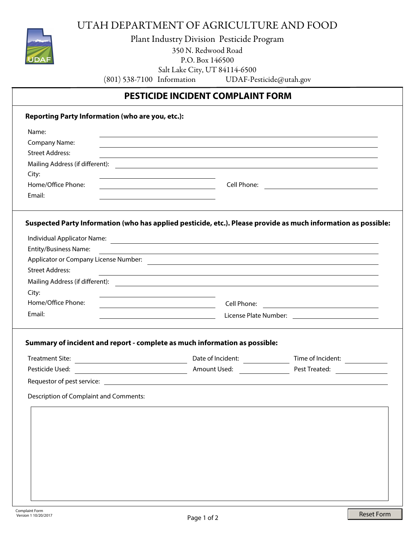

UTAH DEPARTMENT OF AGRICULTURE AND FOOD

Plant Industry Division Pesticide Program 350 N. Redwood Road P.O. Box 146500 Salt Lake City, UT 84114-6500 (801) 538-7100 Information UDAF-Pesticide@utah.gov

## **PESTICIDE INCIDENT COMPLAINT FORM**

| Name:                                  |                                                                                                                                                                                                                                 |                                   |
|----------------------------------------|---------------------------------------------------------------------------------------------------------------------------------------------------------------------------------------------------------------------------------|-----------------------------------|
| <b>Company Name:</b>                   | ,我们也不会有什么。""我们的人,我们也不会有什么?""我们的人,我们也不会有什么?""我们的人,我们也不会有什么?""我们的人,我们也不会有什么?""我们的人                                                                                                                                                |                                   |
| <b>Street Address:</b>                 |                                                                                                                                                                                                                                 |                                   |
|                                        |                                                                                                                                                                                                                                 |                                   |
| City:                                  |                                                                                                                                                                                                                                 |                                   |
| Home/Office Phone:                     |                                                                                                                                                                                                                                 |                                   |
| Email:                                 | the control of the control of the control of the control of the control of the control of                                                                                                                                       |                                   |
|                                        | Suspected Party Information (who has applied pesticide, etc.). Please provide as much information as possible:                                                                                                                  |                                   |
|                                        | Individual Applicator Name:<br>and the contract of the contract of the contract of the contract of the contract of the contract of the contract of the contract of the contract of the contract of the contract of the contract |                                   |
| <b>Entity/Business Name:</b>           | <u> 1989 - Johann Stoff, amerikansk politiker (d. 1989)</u>                                                                                                                                                                     |                                   |
|                                        |                                                                                                                                                                                                                                 |                                   |
| <b>Street Address:</b>                 |                                                                                                                                                                                                                                 |                                   |
|                                        |                                                                                                                                                                                                                                 |                                   |
| City:                                  |                                                                                                                                                                                                                                 |                                   |
| Home/Office Phone:                     |                                                                                                                                                                                                                                 |                                   |
|                                        |                                                                                                                                                                                                                                 |                                   |
| Email:                                 |                                                                                                                                                                                                                                 |                                   |
| <b>Treatment Site:</b>                 | Summary of incident and report - complete as much information as possible:                                                                                                                                                      | Time of Incident: _______________ |
|                                        |                                                                                                                                                                                                                                 |                                   |
|                                        |                                                                                                                                                                                                                                 |                                   |
| Description of Complaint and Comments: |                                                                                                                                                                                                                                 |                                   |
|                                        |                                                                                                                                                                                                                                 |                                   |
|                                        |                                                                                                                                                                                                                                 |                                   |
|                                        |                                                                                                                                                                                                                                 |                                   |
|                                        |                                                                                                                                                                                                                                 |                                   |
|                                        |                                                                                                                                                                                                                                 |                                   |
|                                        |                                                                                                                                                                                                                                 |                                   |
|                                        |                                                                                                                                                                                                                                 |                                   |